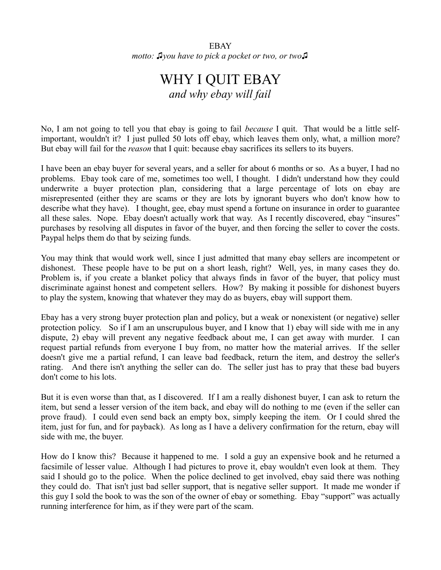EBAY *motto: ♫you have to pick a pocket or two, or two♫*

## WHY I QUIT EBAY *and why ebay will fail*

No, I am not going to tell you that ebay is going to fail *because* I quit. That would be a little selfimportant, wouldn't it? I just pulled 50 lots off ebay, which leaves them only, what, a million more? But ebay will fail for the *reason* that I quit: because ebay sacrifices its sellers to its buyers.

I have been an ebay buyer for several years, and a seller for about 6 months or so. As a buyer, I had no problems. Ebay took care of me, sometimes too well, I thought. I didn't understand how they could underwrite a buyer protection plan, considering that a large percentage of lots on ebay are misrepresented (either they are scams or they are lots by ignorant buyers who don't know how to describe what they have). I thought, gee, ebay must spend a fortune on insurance in order to guarantee all these sales. Nope. Ebay doesn't actually work that way. As I recently discovered, ebay "insures" purchases by resolving all disputes in favor of the buyer, and then forcing the seller to cover the costs. Paypal helps them do that by seizing funds.

You may think that would work well, since I just admitted that many ebay sellers are incompetent or dishonest. These people have to be put on a short leash, right? Well, yes, in many cases they do. Problem is, if you create a blanket policy that always finds in favor of the buyer, that policy must discriminate against honest and competent sellers. How? By making it possible for dishonest buyers to play the system, knowing that whatever they may do as buyers, ebay will support them.

Ebay has a very strong buyer protection plan and policy, but a weak or nonexistent (or negative) seller protection policy. So if I am an unscrupulous buyer, and I know that 1) ebay will side with me in any dispute, 2) ebay will prevent any negative feedback about me, I can get away with murder. I can request partial refunds from everyone I buy from, no matter how the material arrives. If the seller doesn't give me a partial refund, I can leave bad feedback, return the item, and destroy the seller's rating. And there isn't anything the seller can do. The seller just has to pray that these bad buyers don't come to his lots.

But it is even worse than that, as I discovered. If I am a really dishonest buyer, I can ask to return the item, but send a lesser version of the item back, and ebay will do nothing to me (even if the seller can prove fraud). I could even send back an empty box, simply keeping the item. Or I could shred the item, just for fun, and for payback). As long as I have a delivery confirmation for the return, ebay will side with me, the buyer.

How do I know this? Because it happened to me. I sold a guy an expensive book and he returned a facsimile of lesser value. Although I had pictures to prove it, ebay wouldn't even look at them. They said I should go to the police. When the police declined to get involved, ebay said there was nothing they could do. That isn't just bad seller support, that is negative seller support. It made me wonder if this guy I sold the book to was the son of the owner of ebay or something. Ebay "support" was actually running interference for him, as if they were part of the scam.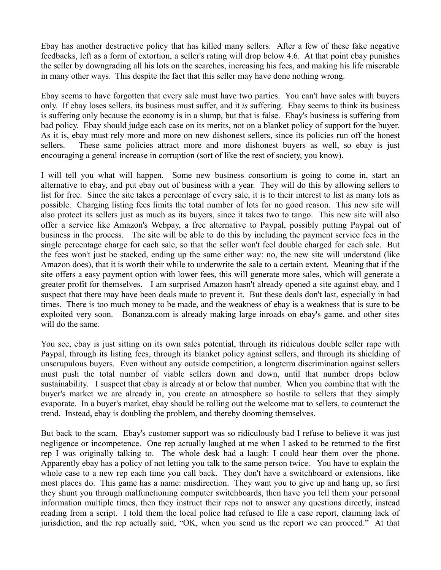Ebay has another destructive policy that has killed many sellers. After a few of these fake negative feedbacks, left as a form of extortion, a seller's rating will drop below 4.6. At that point ebay punishes the seller by downgrading all his lots on the searches, increasing his fees, and making his life miserable in many other ways. This despite the fact that this seller may have done nothing wrong.

Ebay seems to have forgotten that every sale must have two parties. You can't have sales with buyers only. If ebay loses sellers, its business must suffer, and it *is* suffering. Ebay seems to think its business is suffering only because the economy is in a slump, but that is false. Ebay's business is suffering from bad policy. Ebay should judge each case on its merits, not on a blanket policy of support for the buyer. As it is, ebay must rely more and more on new dishonest sellers, since its policies run off the honest sellers. These same policies attract more and more dishonest buyers as well, so ebay is just encouraging a general increase in corruption (sort of like the rest of society, you know).

I will tell you what will happen. Some new business consortium is going to come in, start an alternative to ebay, and put ebay out of business with a year. They will do this by allowing sellers to list for free. Since the site takes a percentage of every sale, it is to their interest to list as many lots as possible. Charging listing fees limits the total number of lots for no good reason. This new site will also protect its sellers just as much as its buyers, since it takes two to tango. This new site will also offer a service like Amazon's Webpay, a free alternative to Paypal, possibly putting Paypal out of business in the process. The site will be able to do this by including the payment service fees in the single percentage charge for each sale, so that the seller won't feel double charged for each sale. But the fees won't just be stacked, ending up the same either way: no, the new site will understand (like Amazon does), that it is worth their while to underwrite the sale to a certain extent. Meaning that if the site offers a easy payment option with lower fees, this will generate more sales, which will generate a greater profit for themselves. I am surprised Amazon hasn't already opened a site against ebay, and I suspect that there may have been deals made to prevent it. But these deals don't last, especially in bad times. There is too much money to be made, and the weakness of ebay is a weakness that is sure to be exploited very soon. Bonanza.com is already making large inroads on ebay's game, and other sites will do the same.

You see, ebay is just sitting on its own sales potential, through its ridiculous double seller rape with Paypal, through its listing fees, through its blanket policy against sellers, and through its shielding of unscrupulous buyers. Even without any outside competition, a longterm discrimination against sellers must push the total number of viable sellers down and down, until that number drops below sustainability. I suspect that ebay is already at or below that number. When you combine that with the buyer's market we are already in, you create an atmosphere so hostile to sellers that they simply evaporate. In a buyer's market, ebay should be rolling out the welcome mat to sellers, to counteract the trend. Instead, ebay is doubling the problem, and thereby dooming themselves.

But back to the scam. Ebay's customer support was so ridiculously bad I refuse to believe it was just negligence or incompetence. One rep actually laughed at me when I asked to be returned to the first rep I was originally talking to. The whole desk had a laugh: I could hear them over the phone. Apparently ebay has a policy of not letting you talk to the same person twice. You have to explain the whole case to a new rep each time you call back. They don't have a switchboard or extensions, like most places do. This game has a name: misdirection. They want you to give up and hang up, so first they shunt you through malfunctioning computer switchboards, then have you tell them your personal information multiple times, then they instruct their reps not to answer any questions directly, instead reading from a script. I told them the local police had refused to file a case report, claiming lack of jurisdiction, and the rep actually said, "OK, when you send us the report we can proceed." At that